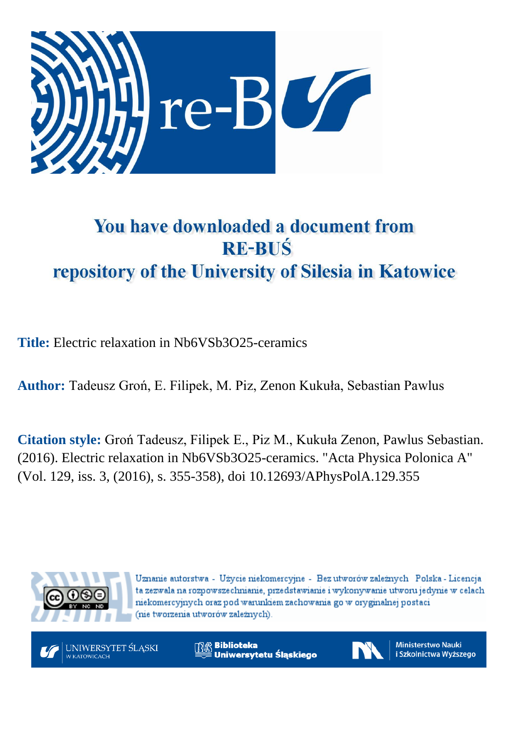

# You have downloaded a document from **RE-BUS** repository of the University of Silesia in Katowice

**Title:** Electric relaxation in Nb6VSb3O25-ceramics

**Author:** Tadeusz Groń, E. Filipek, M. Piz, Zenon Kukuła, Sebastian Pawlus

**Citation style:** Groń Tadeusz, Filipek E., Piz M., Kukuła Zenon, Pawlus Sebastian. (2016). Electric relaxation in Nb6VSb3O25-ceramics. "Acta Physica [Polonica](https://www.scopus.com/sourceid/21100200647?origin=recordpage) A" (Vol. 129, iss. 3, (2016), s. 355-358), doi 10.12693/APhysPolA.129.355



Uznanie autorstwa - Użycie niekomercyjne - Bez utworów zależnych Polska - Licencja ta zezwala na rozpowszechnianie, przedstawianie i wykonywanie utworu jedynie w celach niekomercyjnych oraz pod warunkiem zachowania go w oryginalnej postaci (nie tworzenia utworów zależnych).



**Biblioteka** Uniwersytetu Śląskiego



**Ministerstwo Nauki** i Szkolnictwa Wyższego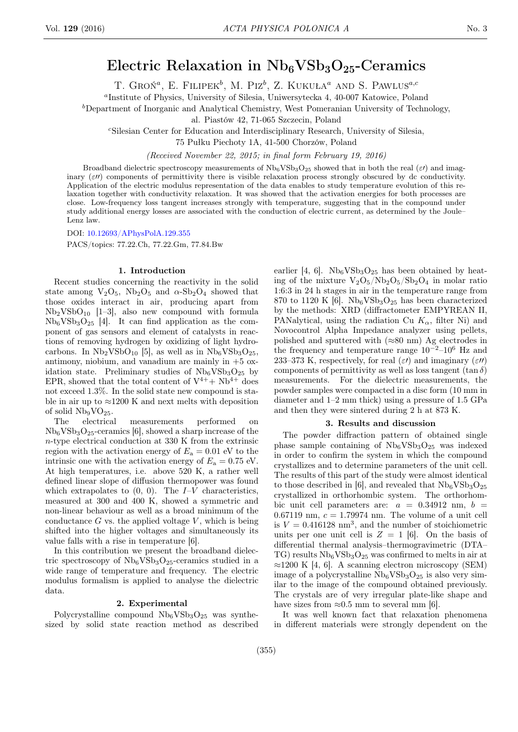# Electric Relaxation in  $Nb<sub>6</sub>VSb<sub>3</sub>O<sub>25</sub>$ -Ceramics

T. GROŃ<sup>a</sup>, E. FILIPEK<sup>b</sup>, M. Piz<sup>b</sup>, Z. KUKUŁA<sup>a</sup> AND S. PAWLUS<sup>a,c</sup>

a Institute of Physics, University of Silesia, Uniwersytecka 4, 40-007 Katowice, Poland

<sup>b</sup>Department of Inorganic and Analytical Chemistry, West Pomeranian University of Technology,

al. Piastów 42, 71-065 Szczecin, Poland

<sup>c</sup>Silesian Center for Education and Interdisciplinary Research, University of Silesia,

75 Pułku Piechoty 1A, 41-500 Chorzów, Poland

(Received November 22, 2015; in final form February 19, 2016)

Broadband dielectric spectroscopy measurements of  $Nb_6VSb_3O_{25}$  showed that in both the real ( $\varepsilon$ ) and imaginary  $(\epsilon \theta)$  components of permittivity there is visible relaxation process strongly obscured by dc conductivity. Application of the electric modulus representation of the data enables to study temperature evolution of this relaxation together with conductivity relaxation. It was showed that the activation energies for both processes are close. Low-frequency loss tangent increases strongly with temperature, suggesting that in the compound under study additional energy losses are associated with the conduction of electric current, as determined by the Joule– Lenz law.

DOI: [10.12693/APhysPolA.129.355](http://dx.doi.org/10.12693/APhysPolA.129.355)

PACS/topics: 77.22.Ch, 77.22.Gm, 77.84.Bw

### 1. Introduction

Recent studies concerning the reactivity in the solid state among  $V_2O_5$ ,  $Nb_2O_5$  and  $\alpha$ - $Sb_2O_4$  showed that those oxides interact in air, producing apart from  $Nb<sub>2</sub>VSbO<sub>10</sub>$  [1-3], also new compound with formula  $Nb_6VSb_3O_{25}$  [4]. It can find application as the component of gas sensors and element of catalysts in reactions of removing hydrogen by oxidizing of light hydrocarbons. In  $Nb<sub>2</sub>VSbO<sub>10</sub>$  [5], as well as in  $Nb<sub>6</sub>VSb<sub>3</sub>O<sub>25</sub>$ , antimony, niobium, and vanadium are mainly in  $+5$  oxidation state. Preliminary studies of  $Nb_6VSb_3O_{25}$  by EPR, showed that the total content of  $V^{4+} + Nb^{4+}$  does not exceed 1.3%. In the solid state new compound is stable in air up to  $\approx$ 1200 K and next melts with deposition of solid  $Nb<sub>9</sub>VO<sub>25</sub>$ .

The electrical measurements performed on  $Nb_6VSb_3O_{25}$ -ceramics [6], showed a sharp increase of the n-type electrical conduction at 330 K from the extrinsic region with the activation energy of  $E_a = 0.01$  eV to the intrinsic one with the activation energy of  $E_a = 0.75$  eV. At high temperatures, i.e. above 520 K, a rather well defined linear slope of diffusion thermopower was found which extrapolates to  $(0, 0)$ . The  $I-V$  characteristics, measured at 300 and 400 K, showed a symmetric and non-linear behaviour as well as a broad minimum of the conductance  $G$  vs. the applied voltage  $V$ , which is being shifted into the higher voltages and simultaneously its value falls with a rise in temperature [6].

In this contribution we present the broadband dielectric spectroscopy of  $Nb_6VSb_3O_{25}$ -ceramics studied in a wide range of temperature and frequency. The electric modulus formalism is applied to analyse the dielectric data.

#### 2. Experimental

Polycrystalline compound  $Nb_6VSb_3O_{25}$  was synthesized by solid state reaction method as described earlier [4, 6].  $Nb_6VSb_3O_{25}$  has been obtained by heating of the mixture  $V_2O_5/Nb_2O_5/Sb_2O_4$  in molar ratio 1:6:3 in 24 h stages in air in the temperature range from 870 to 1120 K [6].  $Nb<sub>6</sub>VSb<sub>3</sub>O<sub>25</sub>$  has been characterized by the methods: XRD (diffractometer EMPYREAN II, PANalytical, using the radiation Cu  $K_{\alpha}$ , filter Ni) and Novocontrol Alpha Impedance analyzer using pellets, polished and sputtered with  $(\approx 80 \text{ nm})$  Ag electrodes in the frequency and temperature range  $10^{-2}$ – $10^{6}$  Hz and 233–373 K, respectively, for real  $(\varepsilon t)$  and imaginary  $(\varepsilon t)$ components of permittivity as well as loss tangent  $(\tan \delta)$ measurements. For the dielectric measurements, the powder samples were compacted in a disc form (10 mm in diameter and 1–2 mm thick) using a pressure of 1.5 GPa and then they were sintered during 2 h at 873 K.

# 3. Results and discussion

The powder diffraction pattern of obtained single phase sample containing of  $Nb_6VSB_3O_{25}$  was indexed in order to confirm the system in which the compound crystallizes and to determine parameters of the unit cell. The results of this part of the study were almost identical to those described in [6], and revealed that  $Nb<sub>6</sub>VSb<sub>3</sub>O<sub>25</sub>$ crystallized in orthorhombic system. The orthorhombic unit cell parameters are:  $a = 0.34912$  nm,  $b =$ 0.67119 nm,  $c = 1.79974$  nm. The volume of a unit cell is  $V = 0.416128$  nm<sup>3</sup>, and the number of stoichiometric units per one unit cell is  $Z = 1$  [6]. On the basis of differential thermal analysis–thermogravimetric (DTA– TG) results  $Nb_6VSb_3O_{25}$  was confirmed to melts in air at  $\approx$ 1200 K [4, 6]. A scanning electron microscopy (SEM) image of a polycrystalline  $Nb_6VSb_3O_{25}$  is also very similar to the image of the compound obtained previously. The crystals are of very irregular plate-like shape and have sizes from  $\approx 0.5$  mm to several mm [6].

It was well known fact that relaxation phenomena in different materials were strongly dependent on the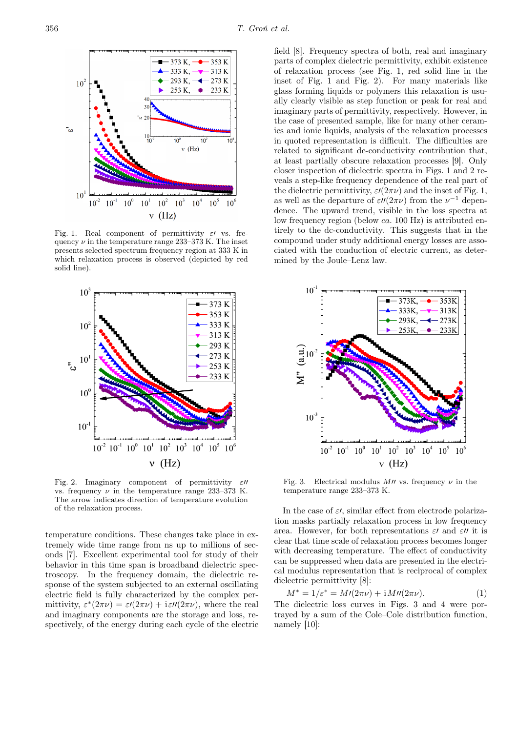

Fig. 1. Real component of permittivity  $\varepsilon$  vs. frequency  $\nu$  in the temperature range 233–373 K. The inset presents selected spectrum frequency region at 333 K in which relaxation process is observed (depicted by red solid line).



Fig. 2. Imaginary component of permittivity vs. frequency ν in the temperature range 233–373 K. The arrow indicates direction of temperature evolution of the relaxation process.

temperature conditions. These changes take place in extremely wide time range from ns up to millions of seconds [7]. Excellent experimental tool for study of their behavior in this time span is broadband dielectric spectroscopy. In the frequency domain, the dielectric response of the system subjected to an external oscillating electric field is fully characterized by the complex permittivity,  $\varepsilon^*(2\pi\nu) = \varepsilon \ell(2\pi\nu) + i\varepsilon \ell(2\pi\nu)$ , where the real and imaginary components are the storage and loss, respectively, of the energy during each cycle of the electric

field [8]. Frequency spectra of both, real and imaginary parts of complex dielectric permittivity, exhibit existence of relaxation process (see Fig. 1, red solid line in the inset of Fig. 1 and Fig. 2). For many materials like glass forming liquids or polymers this relaxation is usually clearly visible as step function or peak for real and imaginary parts of permittivity, respectively. However, in the case of presented sample, like for many other ceramics and ionic liquids, analysis of the relaxation processes in quoted representation is difficult. The difficulties are related to significant dc-conductivity contribution that, at least partially obscure relaxation processes [9]. Only closer inspection of dielectric spectra in Figs. 1 and 2 reveals a step-like frequency dependence of the real part of the dielectric permittivity,  $\varepsilon/(2\pi\nu)$  and the inset of Fig. 1, as well as the departure of  $\varepsilon \prime \prime (2\pi \nu)$  from the  $\nu^{-1}$  dependence. The upward trend, visible in the loss spectra at low frequency region (below ca. 100 Hz) is attributed entirely to the dc-conductivity. This suggests that in the compound under study additional energy losses are associated with the conduction of electric current, as determined by the Joule–Lenz law.



Fig. 3. Electrical modulus  $M\prime\prime$  vs. frequency  $\nu$  in the temperature range 233–373 K.

In the case of  $\varepsilon$ , similar effect from electrode polarization masks partially relaxation process in low frequency area. However, for both representations  $\varepsilon$  and  $\varepsilon$ <sup>*u*</sup> it is clear that time scale of relaxation process becomes longer with decreasing temperature. The effect of conductivity can be suppressed when data are presented in the electrical modulus representation that is reciprocal of complex dielectric permittivity [8]:

$$
M^* = 1/\varepsilon^* = M\prime(2\pi\nu) + i M\prime(2\pi\nu).
$$
 (1)

The dielectric loss curves in Figs. 3 and 4 were portrayed by a sum of the Cole–Cole distribution function, namely [10]: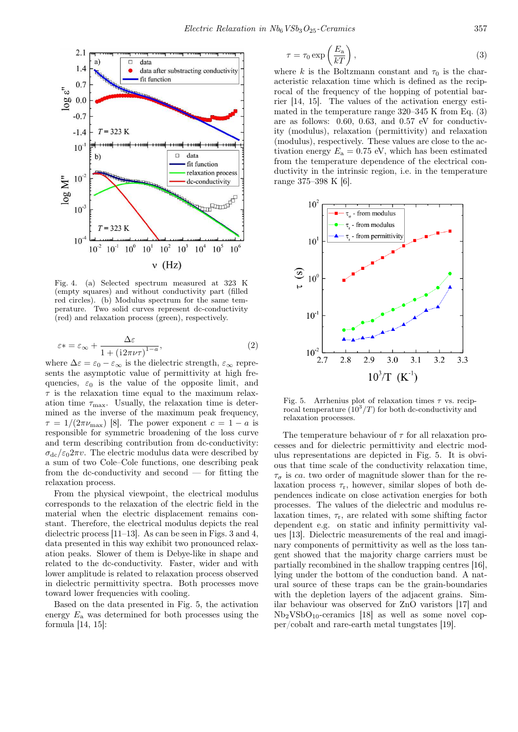

Fig. 4. (a) Selected spectrum measured at 323 K (empty squares) and without conductivity part (filled red circles). (b) Modulus spectrum for the same temperature. Two solid curves represent dc-conductivity (red) and relaxation process (green), respectively.

$$
\varepsilon* = \varepsilon_{\infty} + \frac{\Delta\varepsilon}{1 + \left(i2\pi\nu\tau\right)^{1-a}},\tag{2}
$$

where  $\Delta \varepsilon = \varepsilon_0 - \varepsilon_{\infty}$  is the dielectric strength,  $\varepsilon_{\infty}$  represents the asymptotic value of permittivity at high frequencies,  $\varepsilon_0$  is the value of the opposite limit, and  $\tau$  is the relaxation time equal to the maximum relaxation time  $\tau_{\text{max}}$ . Usually, the relaxation time is determined as the inverse of the maximum peak frequency,  $\tau = 1/(2\pi\nu_{\text{max}})$  [8]. The power exponent  $c = 1 - a$  is responsible for symmetric broadening of the loss curve and term describing contribution from dc-conductivity:  $\sigma_{\rm dc}/\epsilon_0 2\pi v$ . The electric modulus data were described by a sum of two Cole–Cole functions, one describing peak from the dc-conductivity and second  $-$  for fitting the relaxation process.

From the physical viewpoint, the electrical modulus corresponds to the relaxation of the electric field in the material when the electric displacement remains constant. Therefore, the electrical modulus depicts the real dielectric process [11–13]. As can be seen in Figs. 3 and 4, data presented in this way exhibit two pronounced relaxation peaks. Slower of them is Debye-like in shape and related to the dc-conductivity. Faster, wider and with lower amplitude is related to relaxation process observed in dielectric permittivity spectra. Both processes move toward lower frequencies with cooling.

Based on the data presented in Fig. 5, the activation energy  $E_a$  was determined for both processes using the formula [14, 15]:

$$
\tau = \tau_0 \exp\left(\frac{E_\mathrm{a}}{kT}\right),\tag{3}
$$

where k is the Boltzmann constant and  $\tau_0$  is the characteristic relaxation time which is defined as the reciprocal of the frequency of the hopping of potential barrier [14, 15]. The values of the activation energy estimated in the temperature range 320–345 K from Eq. (3) are as follows: 0.60, 0.63, and 0.57 eV for conductivity (modulus), relaxation (permittivity) and relaxation (modulus), respectively. These values are close to the activation energy  $E_a = 0.75$  eV, which has been estimated from the temperature dependence of the electrical conductivity in the intrinsic region, i.e. in the temperature range 375–398 K [6].



Fig. 5. Arrhenius plot of relaxation times  $\tau$  vs. reciprocal temperature  $(10^3/T)$  for both dc-conductivity and relaxation processes.

The temperature behaviour of  $\tau$  for all relaxation processes and for dielectric permittivity and electric modulus representations are depicted in Fig. 5. It is obvious that time scale of the conductivity relaxation time,  $\tau_{\sigma}$  is ca. two order of magnitude slower than for the relaxation process  $\tau_r$ , however, similar slopes of both dependences indicate on close activation energies for both processes. The values of the dielectric and modulus relaxation times,  $\tau_r$ , are related with some shifting factor dependent e.g. on static and infinity permittivity values [13]. Dielectric measurements of the real and imaginary components of permittivity as well as the loss tangent showed that the majority charge carriers must be partially recombined in the shallow trapping centres [16], lying under the bottom of the conduction band. A natural source of these traps can be the grain-boundaries with the depletion layers of the adjacent grains. Similar behaviour was observed for ZnO varistors [17] and  $Nb<sub>2</sub>VSbO<sub>10</sub>$ -ceramics [18] as well as some novel copper/cobalt and rare-earth metal tungstates [19].